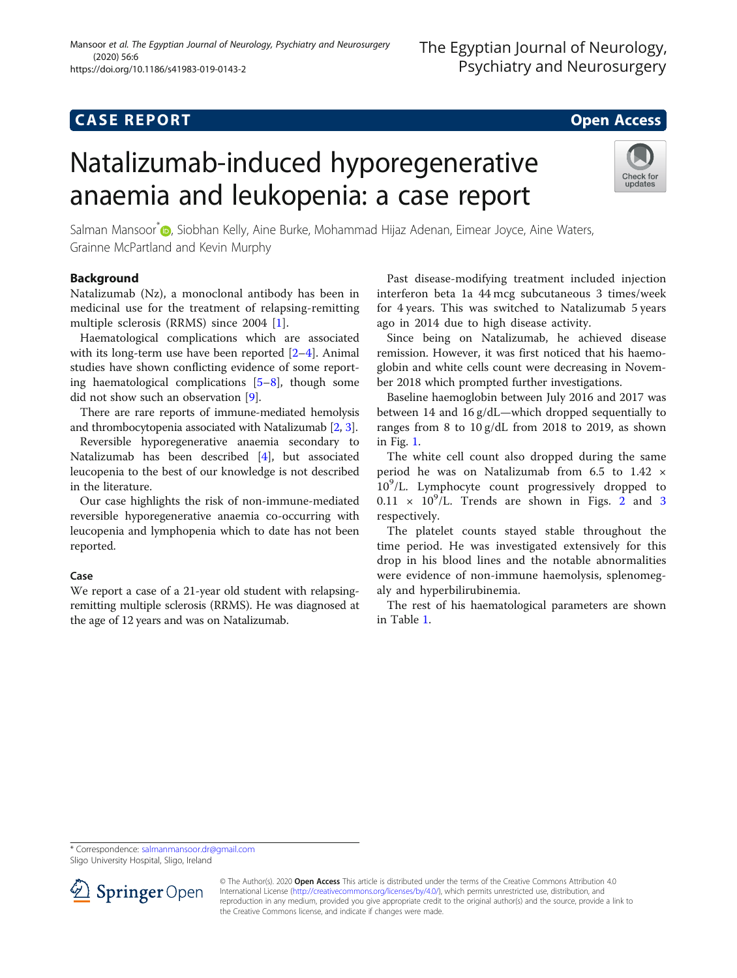# **CASE REPORT CASE REPORT CASE REPORT**

# Natalizumab-induced hyporegenerative anaemia and leukopenia: a case report



Salman Mansoor<sup>[\\*](http://orcid.org/0000-0001-5515-5972)</sup> (**p**, Siobhan Kelly, Aine Burke, Mohammad Hijaz Adenan, Eimear Joyce, Aine Waters, Grainne McPartland and Kevin Murphy

## Background

Natalizumab (Nz), a monoclonal antibody has been in medicinal use for the treatment of relapsing-remitting multiple sclerosis (RRMS) since 2004 [\[1](#page-2-0)].

Haematological complications which are associated with its long-term use have been reported [\[2](#page-2-0)–[4](#page-2-0)]. Animal studies have shown conflicting evidence of some reporting haematological complications  $[5-8]$  $[5-8]$  $[5-8]$  $[5-8]$  $[5-8]$ , though some did not show such an observation [\[9](#page-3-0)].

There are rare reports of immune-mediated hemolysis and thrombocytopenia associated with Natalizumab [[2,](#page-2-0) [3](#page-2-0)].

Reversible hyporegenerative anaemia secondary to Natalizumab has been described [\[4](#page-2-0)], but associated leucopenia to the best of our knowledge is not described in the literature.

Our case highlights the risk of non-immune-mediated reversible hyporegenerative anaemia co-occurring with leucopenia and lymphopenia which to date has not been reported.

### Case

We report a case of a 21-year old student with relapsingremitting multiple sclerosis (RRMS). He was diagnosed at the age of 12 years and was on Natalizumab.

Past disease-modifying treatment included injection interferon beta 1a 44 mcg subcutaneous 3 times/week for 4 years. This was switched to Natalizumab 5 years ago in 2014 due to high disease activity.

Since being on Natalizumab, he achieved disease remission. However, it was first noticed that his haemoglobin and white cells count were decreasing in November 2018 which prompted further investigations.

Baseline haemoglobin between July 2016 and 2017 was between 14 and 16 g/dL—which dropped sequentially to ranges from 8 to 10 g/dL from 2018 to 2019, as shown in Fig. [1](#page-1-0).

The white cell count also dropped during the same period he was on Natalizumab from 6.5 to 1.42 × 10<sup>9</sup> /L. Lymphocyte count progressively dropped to  $0.11 \times 10^9$ /L. Trends are shown in Figs. [2](#page-1-0) and [3](#page-2-0) respectively.

The platelet counts stayed stable throughout the time period. He was investigated extensively for this drop in his blood lines and the notable abnormalities were evidence of non-immune haemolysis, splenomegaly and hyperbilirubinemia.

The rest of his haematological parameters are shown in Table [1.](#page-2-0)

\* Correspondence: [salmanmansoor.dr@gmail.com](mailto:salmanmansoor.dr@gmail.com)

Sligo University Hospital, Sligo, Ireland



<sup>©</sup> The Author(s). 2020 Open Access This article is distributed under the terms of the Creative Commons Attribution 4.0 International License ([http://creativecommons.org/licenses/by/4.0/\)](http://creativecommons.org/licenses/by/4.0/), which permits unrestricted use, distribution, and reproduction in any medium, provided you give appropriate credit to the original author(s) and the source, provide a link to the Creative Commons license, and indicate if changes were made.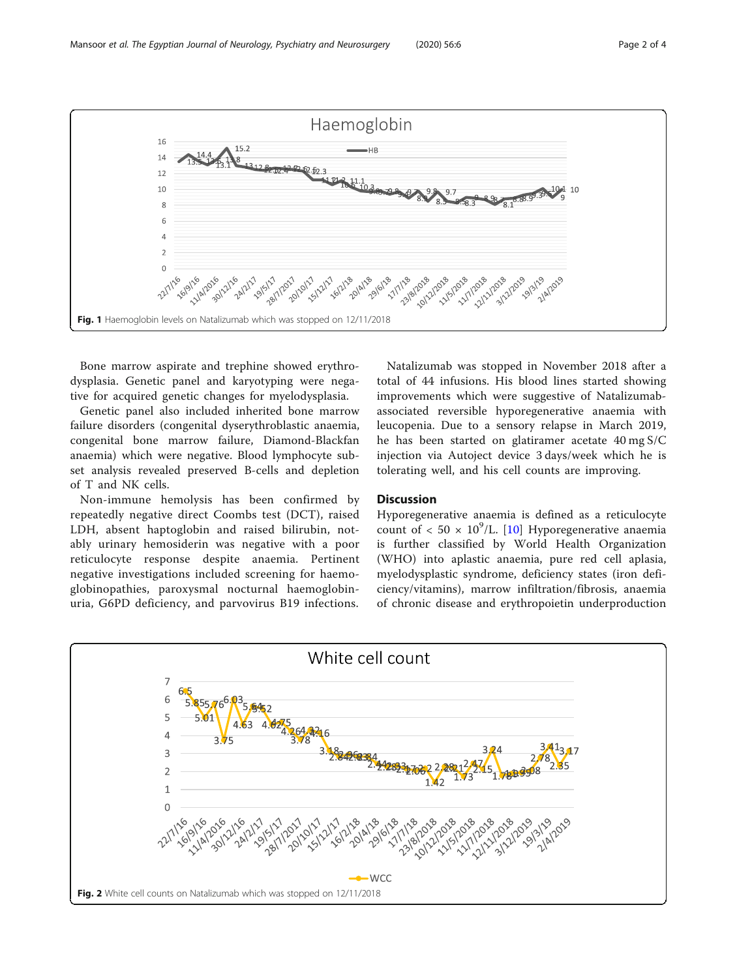

<span id="page-1-0"></span>

Bone marrow aspirate and trephine showed erythrodysplasia. Genetic panel and karyotyping were negative for acquired genetic changes for myelodysplasia.

Genetic panel also included inherited bone marrow failure disorders (congenital dyserythroblastic anaemia, congenital bone marrow failure, Diamond-Blackfan anaemia) which were negative. Blood lymphocyte subset analysis revealed preserved B-cells and depletion of T and NK cells.

Non-immune hemolysis has been confirmed by repeatedly negative direct Coombs test (DCT), raised LDH, absent haptoglobin and raised bilirubin, notably urinary hemosiderin was negative with a poor reticulocyte response despite anaemia. Pertinent negative investigations included screening for haemoglobinopathies, paroxysmal nocturnal haemoglobinuria, G6PD deficiency, and parvovirus B19 infections.

Natalizumab was stopped in November 2018 after a total of 44 infusions. His blood lines started showing improvements which were suggestive of Natalizumabassociated reversible hyporegenerative anaemia with leucopenia. Due to a sensory relapse in March 2019, he has been started on glatiramer acetate 40 mg S/C injection via Autoject device 3 days/week which he is tolerating well, and his cell counts are improving.

#### **Discussion**

Hyporegenerative anaemia is defined as a reticulocyte count of  $< 50 \times 10^9$ /L. [[10\]](#page-3-0) Hyporegenerative anaemia is further classified by World Health Organization (WHO) into aplastic anaemia, pure red cell aplasia, myelodysplastic syndrome, deficiency states (iron deficiency/vitamins), marrow infiltration/fibrosis, anaemia of chronic disease and erythropoietin underproduction

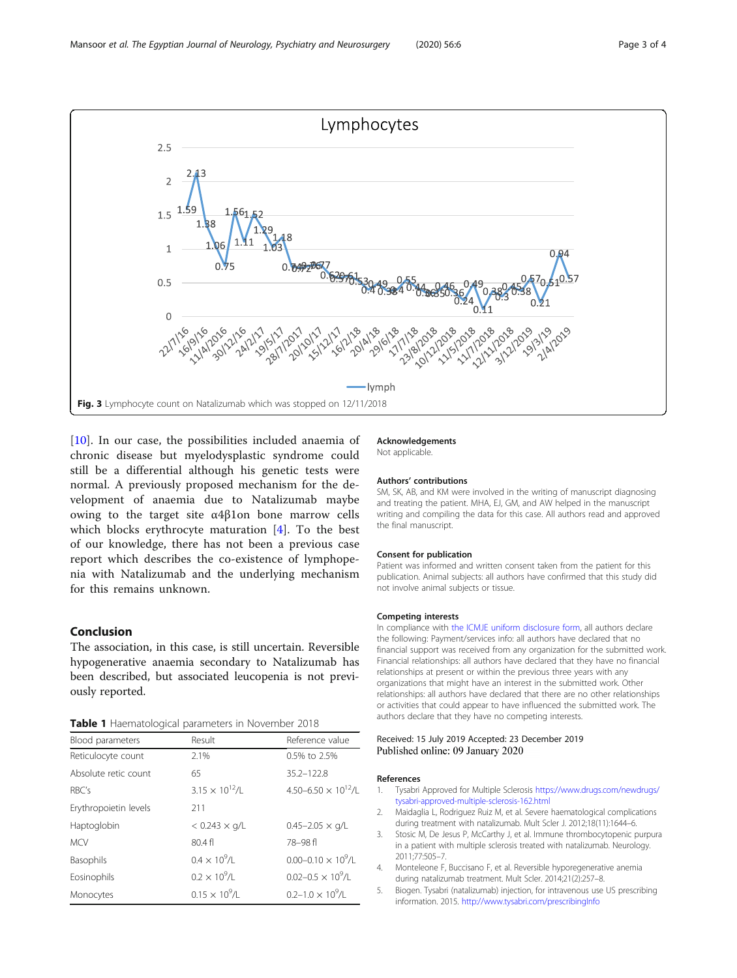<span id="page-2-0"></span>

[[10\]](#page-3-0). In our case, the possibilities included anaemia of chronic disease but myelodysplastic syndrome could still be a differential although his genetic tests were normal. A previously proposed mechanism for the development of anaemia due to Natalizumab maybe owing to the target site α4β1on bone marrow cells which blocks erythrocyte maturation [4]. To the best of our knowledge, there has not been a previous case report which describes the co-existence of lymphopenia with Natalizumab and the underlying mechanism for this remains unknown.

#### Conclusion

The association, in this case, is still uncertain. Reversible hypogenerative anaemia secondary to Natalizumab has been described, but associated leucopenia is not previously reported.

Table 1 Haematological parameters in November 2018

| Blood parameters      | Result                   | Reference value                        |
|-----------------------|--------------------------|----------------------------------------|
| Reticulocyte count    | 2.1%                     | 0.5% to 2.5%                           |
| Absolute retic count  | 65                       | $35.2 - 122.8$                         |
| RBC's                 | $3.15 \times 10^{12}$ /L | 4.50-6.50 $\times$ 10 <sup>12</sup> /L |
| Erythropoietin levels | 211                      |                                        |
| Haptoglobin           | $< 0.243 \times g/L$     | $0.45 - 2.05 \times q/L$               |
| <b>MCV</b>            | 80.4f                    | 78-98fl                                |
| Basophils             | $0.4 \times 10^{9}$ /l   | $0.00 - 0.10 \times 10^9$ /L           |
| Eosinophils           | $0.2 \times 10^{9}$ /L   | $0.02 - 0.5 \times 10^9$ /L            |
| Monocytes             | $0.15 \times 10^{9}$ /L  | $0.2 - 1.0 \times 10^9$ /I             |
|                       |                          |                                        |

#### Acknowledgements

Not applicable.

#### Authors' contributions

SM, SK, AB, and KM were involved in the writing of manuscript diagnosing and treating the patient. MHA, EJ, GM, and AW helped in the manuscript writing and compiling the data for this case. All authors read and approved the final manuscript.

#### Consent for publication

Patient was informed and written consent taken from the patient for this publication. Animal subjects: all authors have confirmed that this study did not involve animal subjects or tissue.

#### Competing interests

In compliance with [the ICMJE uniform disclosure form](http://www.icmje.org/coi_disclosure.pdf), all authors declare the following: Payment/services info: all authors have declared that no financial support was received from any organization for the submitted work. Financial relationships: all authors have declared that they have no financial relationships at present or within the previous three years with any organizations that might have an interest in the submitted work. Other relationships: all authors have declared that there are no other relationships or activities that could appear to have influenced the submitted work. The authors declare that they have no competing interests.

#### Received: 15 July 2019 Accepted: 23 December 2019 Published online: 09 January 2020

#### References

- 1. Tysabri Approved for Multiple Sclerosis [https://www.drugs.com/newdrugs/](https://www.drugs.com/newdrugs/tysabri-approved-multiple-sclerosis-162.html) [tysabri-approved-multiple-sclerosis-162.html](https://www.drugs.com/newdrugs/tysabri-approved-multiple-sclerosis-162.html)
- 2. Maidaglia L, Rodriguez Ruiz M, et al. Severe haematological complications during treatment with natalizumab. Mult Scler J. 2012;18(11):1644–6.
- 3. Stosic M, De Jesus P, McCarthy J, et al. Immune thrombocytopenic purpura in a patient with multiple sclerosis treated with natalizumab. Neurology. 2011;77:505–7.
- 4. Monteleone F, Buccisano F, et al. Reversible hyporegenerative anemia during natalizumab treatment. Mult Scler. 2014;21(2):257–8.
- 5. Biogen. Tysabri (natalizumab) injection, for intravenous use US prescribing information. 2015. <http://www.tysabri.com/prescribingInfo>